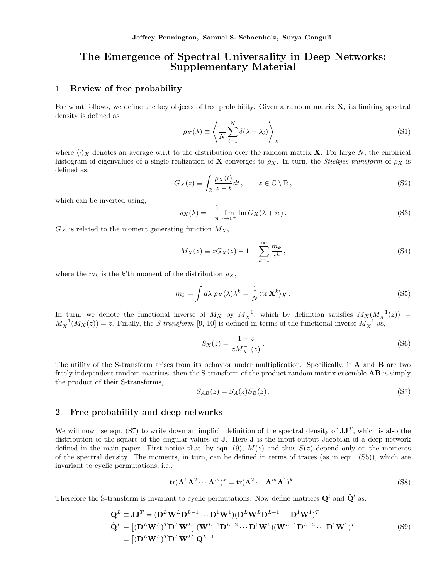# The Emergence of Spectral Universality in Deep Networks: Supplementary Material

### 1 Review of free probability

For what follows, we define the key objects of free probability. Given a random matrix  $X$ , its limiting spectral density is defined as

$$
\rho_X(\lambda) \equiv \left\langle \frac{1}{N} \sum_{i=1}^N \delta(\lambda - \lambda_i) \right\rangle_X, \tag{S1}
$$

where  $\langle \cdot \rangle_X$  denotes an average w.r.t to the distribution over the random matrix **X**. For large *N*, the empirical histogram of eigenvalues of a single realization of **X** converges to  $\rho_X$ . In turn, the *Stieltjes transform* of  $\rho_X$  is defined as,

$$
G_X(z) \equiv \int_{\mathbb{R}} \frac{\rho_X(t)}{z - t} dt, \qquad z \in \mathbb{C} \setminus \mathbb{R}, \tag{S2}
$$

which can be inverted using,

$$
\rho_X(\lambda) = -\frac{1}{\pi} \lim_{\epsilon \to 0^+} \operatorname{Im} G_X(\lambda + i\epsilon).
$$
 (S3)

 $G_X$  is related to the moment generating function  $M_X$ ,

$$
M_X(z) \equiv zG_X(z) - 1 = \sum_{k=1}^{\infty} \frac{m_k}{z^k},
$$
\n(S4)

where the  $m_k$  is the *k*'th moment of the distribution  $\rho_X$ ,

$$
m_k = \int d\lambda \, \rho_X(\lambda) \lambda^k = \frac{1}{N} \langle \text{tr } \mathbf{X}^k \rangle_X \,. \tag{S5}
$$

In turn, we denote the functional inverse of  $M_X$  by  $M_X^{-1}$ , which by definition satisfies  $M_X(M_X^{-1}(z))$  =  $M_X^{-1}(M_X(z)) = z$ . Finally, the *S-transform* [9, 10] is defined in terms of the functional inverse  $M_X^{-1}$  as,

$$
S_X(z) = \frac{1+z}{zM_X^{-1}(z)}.
$$
\n(S6)

The utility of the S-transform arises from its behavior under multiplication. Specifically, if A and B are two freely independent random matrices, then the S-transform of the product random matrix ensemble AB is simply the product of their S-transforms,

$$
S_{AB}(z) = S_A(z)S_B(z). \tag{S7}
$$

#### 2 Free probability and deep networks

We will now use eqn. (S7) to write down an implicit definition of the spectral density of  $JJ^T$ , which is also the distribution of the square of the singular values of J. Here J is the input-output Jacobian of a deep network defined in the main paper. First notice that, by eqn. (9),  $M(z)$  and thus  $S(z)$  depend only on the moments of the spectral density. The moments, in turn, can be defined in terms of traces (as in eqn. (S5)), which are invariant to cyclic permutations, i.e.,

$$
\text{tr}(\mathbf{A}^1 \mathbf{A}^2 \cdots \mathbf{A}^m)^k = \text{tr}(\mathbf{A}^2 \cdots \mathbf{A}^m \mathbf{A}^1)^k. \tag{S8}
$$

Therefore the S-transform is invariant to cyclic permutations. Now define matrices  $\mathbf{Q}^l$  and  $\tilde{\mathbf{Q}}^l$  as,

$$
\mathbf{Q}^{L} \equiv \mathbf{J}\mathbf{J}^{T} = (\mathbf{D}^{L}\mathbf{W}^{L}\mathbf{D}^{L-1}\cdots\mathbf{D}^{1}\mathbf{W}^{1})(\mathbf{D}^{L}\mathbf{W}^{L}\mathbf{D}^{L-1}\cdots\mathbf{D}^{1}\mathbf{W}^{1})^{T}
$$
\n
$$
\tilde{\mathbf{Q}}^{L} \equiv [(\mathbf{D}^{L}\mathbf{W}^{L})^{T}\mathbf{D}^{L}\mathbf{W}^{L}](\mathbf{W}^{L-1}\mathbf{D}^{L-2}\cdots\mathbf{D}^{1}\mathbf{W}^{1})(\mathbf{W}^{L-1}\mathbf{D}^{L-2}\cdots\mathbf{D}^{1}\mathbf{W}^{1})^{T}
$$
\n
$$
= [(\mathbf{D}^{L}\mathbf{W}^{L})^{T}\mathbf{D}^{L}\mathbf{W}^{L}](\mathbf{Q}^{L-1}.
$$
\n(S9)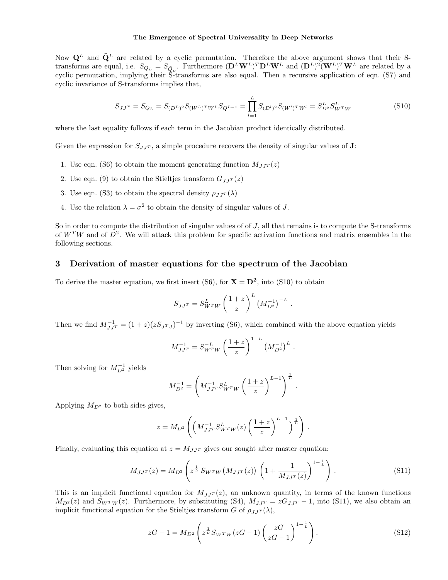Now  $\mathbf{Q}^L$  and  $\tilde{\mathbf{Q}}^L$  are related by a cyclic permutation. Therefore the above argument shows that their Stransforms are equal, i.e.  $S_{Q_L} = S_{\tilde{Q}_L}$ . Furthermore  $(\mathbf{D}^L \mathbf{W}^L)^T \mathbf{D}^L \mathbf{W}^L$  and  $(\mathbf{D}^L)^2 (\mathbf{W}^L)^T \mathbf{W}^L$  are related by a cyclic permutation, implying their S-transforms are also equal. Then a recursive application of eqn. (S7) and cyclic invariance of S-transforms implies that,

$$
S_{JJ^T} = S_{Q_L} = S_{(D^L)^2} S_{(W^L)^T W^L} S_{Q^{L-1}} = \prod_{l=1}^{L} S_{(D^l)^2} S_{(W^l)^T W^l} = S_{D^2}^L S_{W^T W}^L
$$
(S10)

where the last equality follows if each term in the Jacobian product identically distributed.

Given the expression for  $S_{JJ}$ <sup> $\tau$ </sup>, a simple procedure recovers the density of singular values of **J**:

- 1. Use eqn. (S6) to obtain the moment generating function  $M_{JJ}r(z)$
- 2. Use eqn. (9) to obtain the Stieltjes transform  $G_{JJ}r(z)$
- 3. Use eqn. (S3) to obtain the spectral density  $\rho_{JJ}(\lambda)$
- 4. Use the relation  $\lambda = \sigma^2$  to obtain the density of singular values of *J*.

So in order to compute the distribution of singular values of of *J*, all that remains is to compute the S-transforms of  $W<sup>T</sup>W$  and of  $D<sup>2</sup>$ . We will attack this problem for specific activation functions and matrix ensembles in the following sections.

#### 3 Derivation of master equations for the spectrum of the Jacobian

To derive the master equation, we first insert (S6), for  $X = D^2$ , into (S10) to obtain

$$
S_{JJ^{T}} = S_{W^{T}W}^{L} \left(\frac{1+z}{z}\right)^{L} \left(M_{D^{2}}^{-1}\right)^{-L} .
$$

Then we find  $M_{JJ^T}^{-1} = (1 + z)(zS_{J^TJ})^{-1}$  by inverting (S6), which combined with the above equation yields

$$
M_{JJ^T}^{-1} = S_{W^TW}^{-L} \left(\frac{1+z}{z}\right)^{1-L} \left(M_{D^2}^{-1}\right)^L.
$$

Then solving for  $M_{D^2}^{-1}$  yields

$$
M_{D^2}^{-1} = \left( M_{JJ^T}^{-1} S_{W^T W}^L \left( \frac{1+z}{z} \right)^{L-1} \right)^{\frac{1}{L}}.
$$

Applying  $M_{D^2}$  to both sides gives,

$$
z = M_{D^2}\left( \left(M_{JJ^T}^{-1} S_{W^TW}^L(z) \left(\frac{1+z}{z}\right)^{L-1}\right)^{\frac{1}{L}} \right).
$$

Finally, evaluating this equation at  $z = M_{JJ}r$  gives our sought after master equation:

$$
M_{JJ^{T}}(z) = M_{D^{2}}\left(z^{\frac{1}{L}} S_{W^{T}W}(M_{JJ^{T}}(z))\left(1 + \frac{1}{M_{JJ^{T}}(z)}\right)^{1 - \frac{1}{L}}\right).
$$
\n(S11)

This is an implicit functional equation for  $M_{J,T}(z)$ , an unknown quantity, in terms of the known functions  $M_{D^2}(z)$  and  $S_{W^TW}(z)$ . Furthermore, by substituting (S4),  $M_{JJ^T} = zG_{JJ^T} - 1$ , into (S11), we also obtain an implicit functional equation for the Stieltjes transform *G* of  $\rho_{JJ}(\lambda)$ ,

$$
zG - 1 = M_{D^2} \left( z^{\frac{1}{L}} S_{W^T W} (zG - 1) \left( \frac{zG}{zG - 1} \right)^{1 - \frac{1}{L}} \right).
$$
 (S12)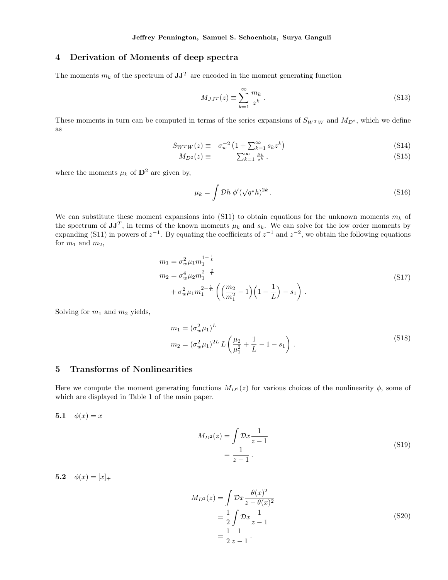## 4 Derivation of Moments of deep spectra

The moments  $m_k$  of the spectrum of  $JJ^T$  are encoded in the moment generating function

$$
M_{JJ^T}(z) \equiv \sum_{k=1}^{\infty} \frac{m_k}{z^k} \,. \tag{S13}
$$

These moments in turn can be computed in terms of the series expansions of  $S_{WTW}$  and  $M_{D^2}$ , which we define as

$$
S_{W^T W}(z) \equiv \sigma_w^{-2} \left( 1 + \sum_{k=1}^{\infty} s_k z^k \right) \tag{S14}
$$

$$
M_{D^2}(z) \equiv \qquad \sum_{k=1}^{\infty} \frac{\mu_k}{z^k} \,, \tag{S15}
$$

where the moments  $\mu_k$  of  $\mathbf{D}^2$  are given by,

$$
\mu_k = \int \mathcal{D}h \; \phi'(\sqrt{q^*}h)^{2k} \,. \tag{S16}
$$

We can substitute these moment expansions into (S11) to obtain equations for the unknown moments  $m_k$  of the spectrum of  $JJ^T$ , in terms of the known moments  $\mu_k$  and  $s_k$ . We can solve for the low order moments by expanding (S11) in powers of  $z^{-1}$ . By equating the coefficients of  $z^{-1}$  and  $z^{-2}$ , we obtain the following equations for  $m_1$  and  $m_2$ ,

$$
m_1 = \sigma_w^2 \mu_1 m_1^{1 - \frac{1}{L}}
$$
  
\n
$$
m_2 = \sigma_w^4 \mu_2 m_1^{2 - \frac{2}{L}}
$$
  
\n
$$
+ \sigma_w^2 \mu_1 m_1^{2 - \frac{1}{L}} \left( \left( \frac{m_2}{m_1^2} - 1 \right) \left( 1 - \frac{1}{L} \right) - s_1 \right).
$$
\n(S17)

Solving for *m*<sup>1</sup> and *m*<sup>2</sup> yields,

$$
m_1 = (\sigma_w^2 \mu_1)^L
$$
  
\n
$$
m_2 = (\sigma_w^2 \mu_1)^{2L} L \left(\frac{\mu_2}{\mu_1^2} + \frac{1}{L} - 1 - s_1\right).
$$
\n(S18)

#### 5 Transforms of Nonlinearities

Here we compute the moment generating functions  $M_{D^2}(z)$  for various choices of the nonlinearity  $\phi$ , some of which are displayed in Table 1 of the main paper.

5.1  $\phi(x) = x$ 

$$
M_{D^2}(z) = \int \mathcal{D}x \frac{1}{z - 1}
$$
  
= 
$$
\frac{1}{z - 1}.
$$
 (S19)

5.2  $\phi(x)=[x]_+$ 

$$
M_{D^2}(z) = \int \mathcal{D}x \frac{\theta(x)^2}{z - \theta(x)^2} = \frac{1}{2} \int \mathcal{D}x \frac{1}{z - 1} = \frac{1}{2} \frac{1}{z - 1} .
$$
 (S20)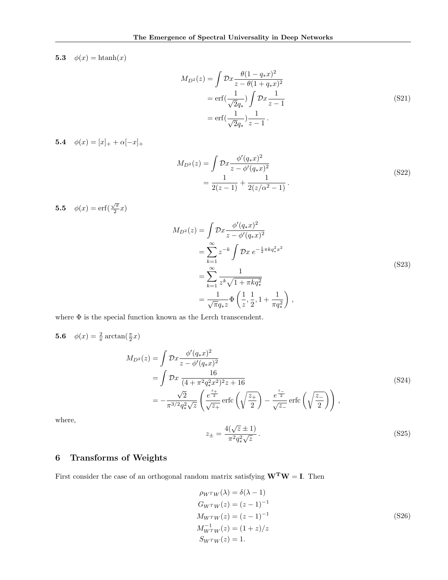5.3  $\phi(x) = \text{htanh}(x)$ 

$$
M_{D^2}(z) = \int \mathcal{D}x \frac{\theta(1 - q_* x)^2}{z - \theta(1 + q_* x)^2}
$$
  
= erf $\left(\frac{1}{\sqrt{2}q_*}\right) \int \mathcal{D}x \frac{1}{z - 1}$   
= erf $\left(\frac{1}{\sqrt{2}q_*}\right) \frac{1}{z - 1}$ . (S21)

5.4  $\phi(x)=[x]_+ + \alpha[-x]_+$ 

$$
M_{D^2}(z) = \int \mathcal{D}x \frac{\phi'(q_*x)^2}{z - \phi'(q_*x)^2}
$$
  
= 
$$
\frac{1}{2(z-1)} + \frac{1}{2(z/\alpha^2 - 1)}.
$$
 (S22)

**5.5**  $\phi(x) = \text{erf}(\frac{\sqrt{\pi}}{2}x)$ 

$$
M_{D^2}(z) = \int \mathcal{D}x \frac{\phi'(q_* x)^2}{z - \phi'(q_* x)^2}
$$
  
= 
$$
\sum_{k=1}^{\infty} z^{-k} \int \mathcal{D}x e^{-\frac{1}{2}\pi k q_*^2 x^2}
$$
  
= 
$$
\sum_{k=1}^{\infty} \frac{1}{z^k \sqrt{1 + \pi k q_*^2}}
$$
  
= 
$$
\frac{1}{\sqrt{\pi} q_* z} \Phi\left(\frac{1}{z}, \frac{1}{2}, 1 + \frac{1}{\pi q_*^2}\right),
$$
 (S23)

where  $\Phi$  is the special function known as the Lerch transcendent.

$$
\phi(x) = \frac{2}{\pi} \arctan(\frac{\pi}{2}x)
$$
  
\n
$$
M_{D^2}(z) = \int \mathcal{D}x \frac{\phi'(q_* x)^2}{z - \phi'(q_* x)^2}
$$
  
\n
$$
= \int \mathcal{D}x \frac{16}{(4 + \pi^2 q_*^2 x^2)^2 z + 16}
$$
  
\n
$$
= -\frac{\sqrt{2}}{\pi^{3/2} q_*^2 \sqrt{z}} \left(\frac{e^{\frac{z_+}{2}}}{\sqrt{z_+}} \operatorname{erfc}\left(\sqrt{\frac{z_+}{2}}\right) - \frac{e^{\frac{z_-}{2}}}{\sqrt{z_-}} \operatorname{erfc}\left(\sqrt{\frac{z_-}{2}}\right)\right),
$$

where,

 $5.6$ 

$$
z_{\pm} = \frac{4(\sqrt{z} \pm 1)}{\pi^2 q_*^2 \sqrt{z}}.
$$
 (S25)

(S24)

# 6 Transforms of Weights

First consider the case of an orthogonal random matrix satisfying  $\mathbf{W}^{\mathbf{T}}\mathbf{W} = \mathbf{I}$ . Then

$$
\rho_{WTW}(\lambda) = \delta(\lambda - 1) \nG_{WTW}(z) = (z - 1)^{-1} \nM_{W^{T}W}(z) = (z - 1)^{-1} \nM_{W^{T}W}(z) = (1 + z)/z \nS_{WTW}(z) = 1.
$$
\n(S26)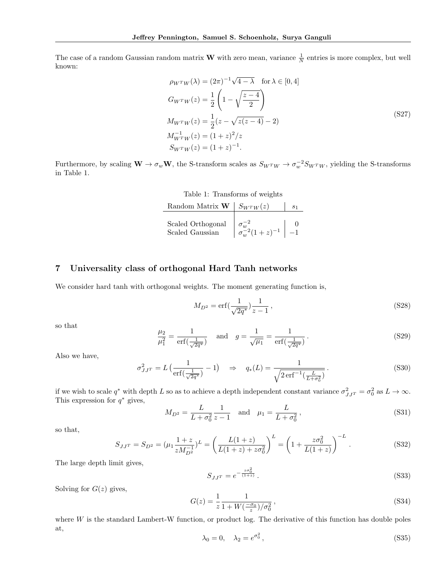The case of a random Gaussian random matrix **W** with zero mean, variance  $\frac{1}{N}$  entries is more complex, but well known:

$$
\rho_{W^TW}(\lambda) = (2\pi)^{-1}\sqrt{4-\lambda} \quad \text{for } \lambda \in [0, 4]
$$
  
\n
$$
G_{W^TW}(z) = \frac{1}{2} \left( 1 - \sqrt{\frac{z-4}{2}} \right)
$$
  
\n
$$
M_{W^TW}(z) = \frac{1}{2} (z - \sqrt{z(z-4)} - 2)
$$
  
\n
$$
M_{W^TW}^{-1}(z) = (1+z)^2/z
$$
  
\n
$$
S_{W^TW}(z) = (1+z)^{-1}.
$$
\n(S27)

Furthermore, by scaling  $W \to \sigma_w W$ , the S-transform scales as  $S_{W^T W} \to \sigma_w^{-2} S_{W^T W}$ , yielding the S-transforms in Table 1.

Table 1: Transforms of weights

| Random Matrix <b>W</b>   $S_{W^TW}(z)$ |                           |  |
|----------------------------------------|---------------------------|--|
| Scaled Orthogonal<br>Scaled Gaussian   | $\sigma_w^{-2}(1+z)^{-1}$ |  |

## 7 Universality class of orthogonal Hard Tanh networks

We consider hard tanh with orthogonal weights. The moment generating function is,

$$
M_{D^2} = \text{erf}\left(\frac{1}{\sqrt{2q^*}}\right) \frac{1}{z - 1},\tag{S28}
$$

so that

$$
\frac{\mu_2}{\mu_1^2} = \frac{1}{\text{erf}\left(\frac{1}{\sqrt{2q^*}}\right)} \quad \text{and} \quad g = \frac{1}{\sqrt{\mu_1}} = \frac{1}{\text{erf}\left(\frac{1}{\sqrt{2q^*}}\right)}\,. \tag{S29}
$$

Also we have,

$$
\sigma_{JJ^T}^2 = L\left(\frac{1}{\text{erf}\left(\frac{1}{\sqrt{2q^*}}\right)} - 1\right) \quad \Rightarrow \quad q_*(L) = \frac{1}{\sqrt{2\,\text{erf}^{-1}\left(\frac{L}{L+\sigma_0^2}\right)}}\,. \tag{S30}
$$

if we wish to scale  $q^*$  with depth *L* so as to achieve a depth independent constant variance  $\sigma_{JJ^T}^2 = \sigma_0^2$  as  $L \to \infty$ . This expression for  $q^*$  gives,

$$
M_{D^2} = \frac{L}{L + \sigma_0^2} \frac{1}{z - 1} \quad \text{and} \quad \mu_1 = \frac{L}{L + \sigma_0^2},\tag{S31}
$$

so that,

$$
S_{JJ^T} = S_{D^2} = (\mu_1 \frac{1+z}{zM_{D^2}^{-1}})^L = \left(\frac{L(1+z)}{L(1+z) + z\sigma_0^2}\right)^L = \left(1 + \frac{z\sigma_0^2}{L(1+z)}\right)^{-L}.
$$
 (S32)

The large depth limit gives,

$$
S_{JJ^T} = e^{-\frac{z\sigma_0^2}{(1+z)}}.
$$
\n(S33)

Solving for  $G(z)$  gives,

$$
G(z) = \frac{1}{z} \frac{1}{1 + W(\frac{-\sigma_0}{z})/\sigma_0^2},
$$
\n(S34)

where *W* is the standard Lambert-W function, or product log. The derivative of this function has double poles at,

$$
\lambda_0 = 0, \quad \lambda_2 = e^{\sigma_0^2}, \tag{S35}
$$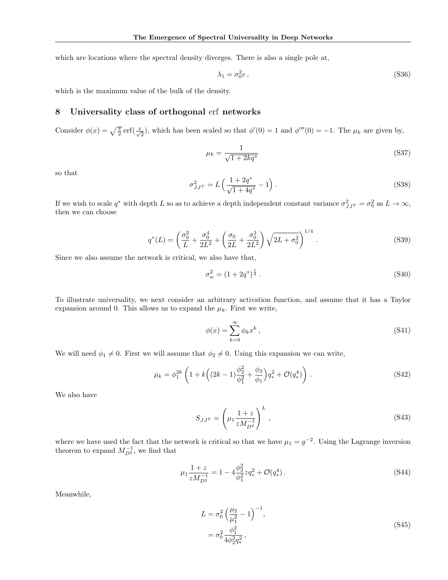which are locations where the spectral density diverges. There is also a single pole at,

$$
\lambda_1 = \sigma_0^2 e \,, \tag{S36}
$$

which is the maximum value of the bulk of the density.

#### 8 Universality class of orthogonal erf networks

Consider  $\phi(x) = \sqrt{\frac{\pi}{2}} \operatorname{erf}(\frac{x}{\sqrt{2}})$ , which has been scaled so that  $\phi'(0) = 1$  and  $\phi'''(0) = -1$ . The  $\mu_k$  are given by,

$$
\mu_k = \frac{1}{\sqrt{1 + 2kq^*}}
$$
\n(S37)

so that

$$
\sigma_{JJ^T}^2 = L\left(\frac{1+2q^*}{\sqrt{1+4q^*}}-1\right). \tag{S38}
$$

If we wish to scale  $q^*$  with depth *L* so as to achieve a depth independent constant variance  $\sigma_{JJ^T}^2 = \sigma_0^2$  as  $L \to \infty$ , then we can choose

$$
q^*(L) = \left(\frac{\sigma_0^2}{L} + \frac{\sigma_0^4}{2L^2} + \left(\frac{\sigma_0}{2L} + \frac{\sigma_0^3}{2L^2}\right)\sqrt{2L + \sigma_0^2}\right)^{1/4}.
$$
 (S39)

Since we also assume the network is critical, we also have that,

$$
\sigma_w^2 = (1 + 2q^*)^{\frac{1}{4}}.
$$
\n<sup>(S40)</sup>

To illustrate universality, we next consider an arbitrary activation function, and assume that it has a Taylor expansion around 0. This allows us to expand the  $\mu_k$ . First we write,

$$
\phi(x) = \sum_{k=0}^{\infty} \phi_k x^k , \qquad (S41)
$$

We will need  $\phi_1 \neq 0$ . First we will assume that  $\phi_2 \neq 0$ . Using this expansion we can write,

$$
\mu_k = \phi_1^{2k} \left( 1 + k \left( (2k - 1) \frac{\phi_2^2}{\phi_1^2} + \frac{\phi_3}{\phi_1} \right) q_*^2 + \mathcal{O}(q_*^4) \right) . \tag{S42}
$$

We also have

$$
S_{JJ^{T}} = \left(\mu_1 \frac{1+z}{zM_{D^2}^{-1}}\right)^L,
$$
\n(S43)

where we have used the fact that the network is critical so that we have  $\mu_1 = g^{-2}$ . Using the Lagrange inversion theorem to expand  $M_{D^2}^{-1}$ , we find that

$$
\mu_1 \frac{1+z}{zM_{D^2}^{-1}} = 1 - 4 \frac{\phi_2^2}{\phi_1^2} z q_*^2 + \mathcal{O}(q_*^4).
$$
 (S44)

Meanwhile,

$$
L = \sigma_0^2 \left(\frac{\mu_2}{\mu_1^2} - 1\right)^{-1},
$$
  
=  $\sigma_0^2 \frac{\phi_1^2}{4\phi_2^2 q_*^2},$  (S45)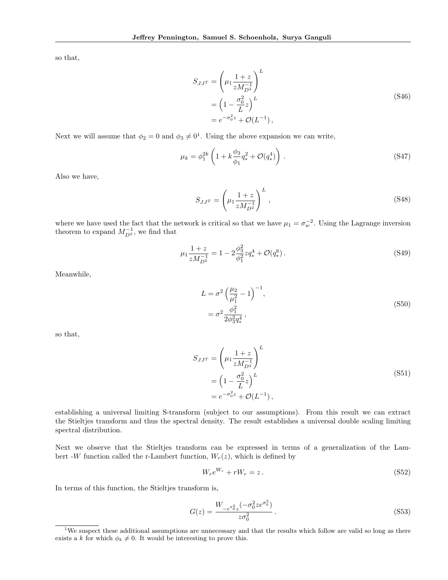so that,

$$
S_{JJ} = \left(\mu_1 \frac{1+z}{zM_{D^2}^{-1}}\right)^L
$$
  
=  $\left(1 - \frac{\sigma_0^2}{L}z\right)^L$   
=  $e^{-\sigma_0^2 z} + \mathcal{O}(L^{-1}),$  (S46)

Next we will assume that  $\phi_2 = 0$  and  $\phi_3 \neq 0^1$ . Using the above expansion we can write,

$$
\mu_k = \phi_1^{2k} \left( 1 + k \frac{\phi_3}{\phi_1} q_*^2 + \mathcal{O}(q_*^4) \right) . \tag{S47}
$$

Also we have,

$$
S_{JJ^T} = \left(\mu_1 \frac{1+z}{zM_{D^2}^{-1}}\right)^L,
$$
\n(S48)

where we have used the fact that the network is critical so that we have  $\mu_1 = \sigma_w^{-2}$ . Using the Lagrange inversion theorem to expand  $M_{D^2}^{-1}$ , we find that

$$
\mu_1 \frac{1+z}{zM_{D^2}^{-1}} = 1 - 2 \frac{\phi_3^2}{\phi_1^2} z q_*^4 + \mathcal{O}(q_*^6).
$$
 (S49)

Meanwhile,

$$
L = \sigma^2 \left(\frac{\mu_2}{\mu_1^2} - 1\right)^{-1},
$$
  
=  $\sigma^2 \frac{\phi_1^2}{2\phi_3^2 q_*^4}$ , (S50)

so that,

$$
S_{JJ^T} = \left(\mu_1 \frac{1+z}{zM_{D^2}^{-1}}\right)^L
$$
  
=  $\left(1 - \frac{\sigma_0^2}{L}z\right)^L$   
=  $e^{-\sigma_0^2 z} + \mathcal{O}(L^{-1}),$  (S51)

establishing a universal limiting S-transform (subject to our assumptions). From this result we can extract the Stieltjes transform and thus the spectral density. The result establishes a universal double scaling limiting spectral distribution.

Next we observe that the Stieltjes transform can be expressed in terms of a generalization of the Lambert -*W* function called the r-Lambert function,  $W_r(z)$ , which is defined by

$$
W_r e^{W_r} + rW_r = z. \t\t(S52)
$$

In terms of this function, the Stieltjes transform is,

$$
G(z) = \frac{W_{-e^{\sigma_0^2} z}(-\sigma_0^2 z e^{\sigma_0^2})}{z \sigma_0^2}.
$$
\n(S53)

<sup>&</sup>lt;sup>1</sup>We suspect these additional assumptions are unnecessary and that the results which follow are valid so long as there exists a *k* for which  $\phi_k \neq 0$ . It would be interesting to prove this.